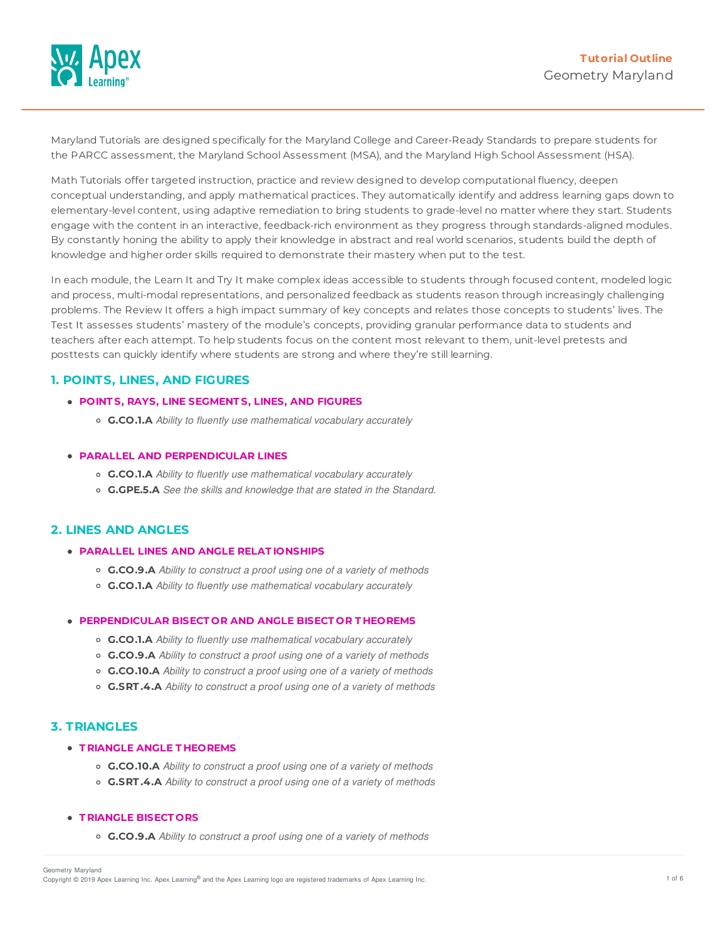

Maryland Tutorials are designed specifically for the Maryland College and Career-Ready Standards to prepare students for the PARCC assessment, the Maryland School Assessment (MSA), and the Maryland High School Assessment (HSA).

Math Tutorials offer targeted instruction, practice and review designed to develop computational fluency, deepen conceptual understanding, and apply mathematical practices. They automatically identify and address learning gaps down to elementary-level content, using adaptive remediation to bring students to grade-level no matter where they start. Students engage with the content in an interactive, feedback-rich environment as they progress through standards-aligned modules. By constantly honing the ability to apply their knowledge in abstract and real world scenarios, students build the depth of knowledge and higher order skills required to demonstrate their mastery when put to the test.

In each module, the Learn It and Try It make complex ideas accessible to students through focused content, modeled logic and process, multi-modal representations, and personalized feedback as students reason through increasingly challenging problems. The Review It offers a high impact summary of key concepts and relates those concepts to students' lives. The Test It assesses students' mastery of the module's concepts, providing granular performance data to students and teachers after each attempt. To help students focus on the content most relevant to them, unit-level pretests and posttests can quickly identify where students are strong and where they're still learning.

# **1. POINTS, LINES, AND FIGURES**

- **POINT S, RAYS, LINE SEGMENT S, LINES, AND FIGURES**
	- **G.CO.1.A** *Ability to fluently use mathematical vocabulary accurately*

### **PARALLEL AND PERPENDICULAR LINES**

- **G.CO.1.A** *Ability to fluently use mathematical vocabulary accurately*
- **G.GPE.5.A** *See the skills and knowledge that are stated in the Standard.*

## **2. LINES AND ANGLES**

- **PARALLEL LINES AND ANGLE RELAT IONSHIPS**
	- **G.CO.9.A** *Ability to construct a proof using one of a variety of methods*
	- **G.CO.1.A** *Ability to fluently use mathematical vocabulary accurately*

## **PERPENDICULAR BISECT OR AND ANGLE BISECT OR T HEOREMS**

- **G.CO.1.A** *Ability to fluently use mathematical vocabulary accurately*
- **G.CO.9.A** *Ability to construct a proof using one of a variety of methods*
- **G.CO.10.A** *Ability to construct a proof using one of a variety of methods*
- **G.SRT .4.A** *Ability to construct a proof using one of a variety of methods*

# **3. TRIANGLES**

## **T RIANGLE ANGLE T HEOREMS**

- **G.CO.10.A** *Ability to construct a proof using one of a variety of methods*
- **G.SRT .4.A** *Ability to construct a proof using one of a variety of methods*

### **T RIANGLE BISECT ORS**

**G.CO.9.A** *Ability to construct a proof using one of a variety of methods*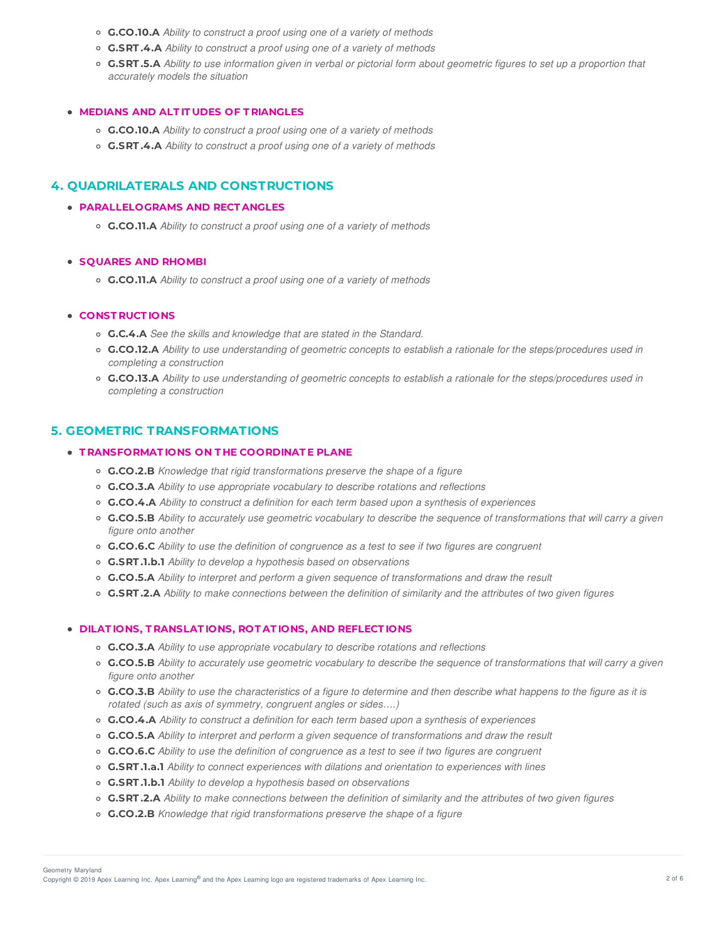- **G.CO.10.A** *Ability to construct a proof using one of a variety of methods*
- **G.SRT .4.A** *Ability to construct a proof using one of a variety of methods*
- **G.SRT.5.A** Ability to use information given in verbal or pictorial form about geometric figures to set up a proportion that *accurately models the situation*

## **MEDIANS AND ALT IT UDES OF T RIANGLES**

- **G.CO.10.A** *Ability to construct a proof using one of a variety of methods*
- **G.SRT .4.A** *Ability to construct a proof using one of a variety of methods*

## **4. QUADRILATERALS AND CONSTRUCTIONS**

## **PARALLELOGRAMS AND RECT ANGLES**

**G.CO.11.A** *Ability to construct a proof using one of a variety of methods*

# **SQUARES AND RHOMBI**

**G.CO.11.A** *Ability to construct a proof using one of a variety of methods*

## **CONST RUCT IONS**

- **G.C.4.A** *See the skills and knowledge that are stated in the Standard.*
- G.CO.12.A Ability to use understanding of geometric concepts to establish a rationale for the steps/procedures used in *completing a construction*
- o G.CO.13.A Ability to use understanding of geometric concepts to establish a rationale for the steps/procedures used in *completing a construction*

# **5. GEOMETRIC TRANSFORMATIONS**

## **T RANSFORMAT IONS ON T HE COORDINAT E PLANE**

- **G.CO.2.B** *Knowledge that rigid transformations preserve the shape of a figure*
- **G.CO.3.A** *Ability to use appropriate vocabulary to describe rotations and reflections*
- **G.CO.4.A** *Ability to construct a definition for each term based upon a synthesis of experiences*
- G.CO.5.B Ability to accurately use geometric vocabulary to describe the sequence of transformations that will carry a given *figure onto another*
- **G.CO.6.C** *Ability to use the definition of congruence as a test to see if two figures are congruent*
- **G.SRT .1.b.1** *Ability to develop a hypothesis based on observations*
- **G.CO.5.A** *Ability to interpret and perform a given sequence of transformations and draw the result*
- o G.SRT.2.A Ability to make connections between the definition of similarity and the attributes of two given figures

#### **DILAT IONS, T RANSLAT IONS, ROT AT IONS, AND REFLECT IONS**

- **G.CO.3.A** *Ability to use appropriate vocabulary to describe rotations and reflections*
- G.CO.5.B Ability to accurately use geometric vocabulary to describe the sequence of transformations that will carry a given *figure onto another*
- G.CO.3.B Ability to use the characteristics of a figure to determine and then describe what happens to the figure as it is *rotated (such as axis of symmetry, congruent angles or sides….)*
- **G.CO.4.A** *Ability to construct a definition for each term based upon a synthesis of experiences*
- **G.CO.5.A** *Ability to interpret and perform a given sequence of transformations and draw the result*
- **G.CO.6.C** *Ability to use the definition of congruence as a test to see if two figures are congruent*
- **G.SRT .1.a.1** *Ability to connect experiences with dilations and orientation to experiences with lines*
- **G.SRT .1.b.1** *Ability to develop a hypothesis based on observations*
- **G.SRT.2.A** Ability to make connections between the definition of similarity and the attributes of two given figures
- **G.CO.2.B** *Knowledge that rigid transformations preserve the shape of a figure*

Copyright © 2019 Apex Learning Inc. Apex Learning® and the Apex Learning logo are registered trademarks of Apex Learning Inc. <br>Copyright © 2019 Apex Learning Inc. Apex Learning® and the Apex Learning Iogo are registered tr Geometry Maryland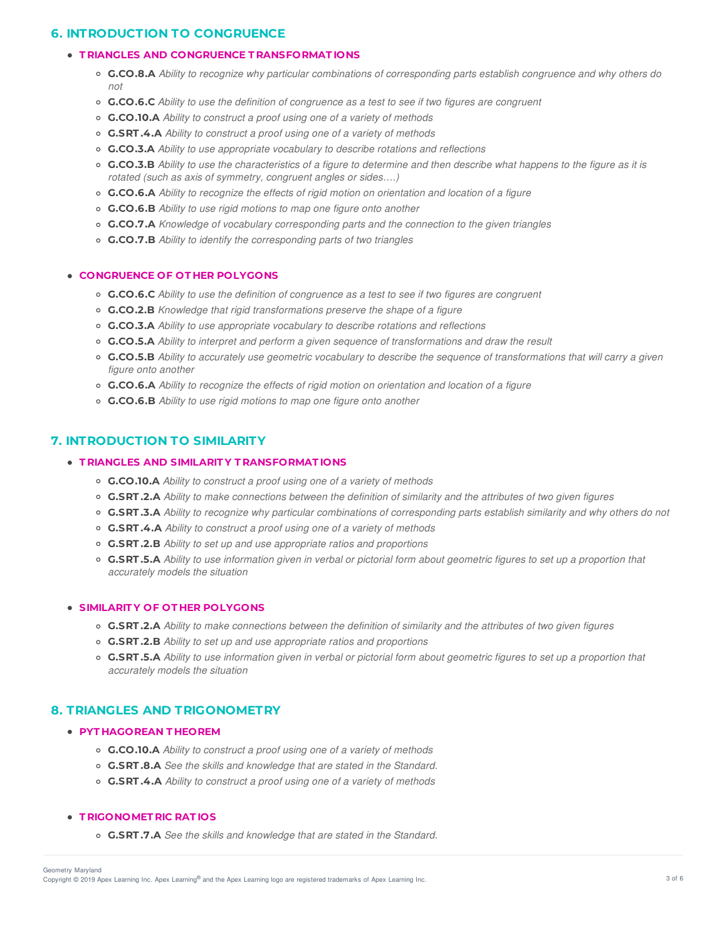# **6. INTRODUCTION TO CONGRUENCE**

# **T RIANGLES AND CONGRUENCE T RANSFORMAT IONS**

- G.CO.8.A Ability to recognize why particular combinations of corresponding parts establish congruence and why others do *not*
- **G.CO.6.C** *Ability to use the definition of congruence as a test to see if two figures are congruent*
- **G.CO.10.A** *Ability to construct a proof using one of a variety of methods*
- **G.SRT .4.A** *Ability to construct a proof using one of a variety of methods*
- **G.CO.3.A** *Ability to use appropriate vocabulary to describe rotations and reflections*
- G.CO.3.B Ability to use the characteristics of a figure to determine and then describe what happens to the figure as it is *rotated (such as axis of symmetry, congruent angles or sides….)*
- **G.CO.6.A** *Ability to recognize the effects of rigid motion on orientation and location of a figure*
- **G.CO.6.B** *Ability to use rigid motions to map one figure onto another*
- **G.CO.7.A** *Knowledge of vocabulary corresponding parts and the connection to the given triangles*
- **G.CO.7.B** *Ability to identify the corresponding parts of two triangles*

# **CONGRUENCE OF OT HER POLYGONS**

- **G.CO.6.C** *Ability to use the definition of congruence as a test to see if two figures are congruent*
- **G.CO.2.B** *Knowledge that rigid transformations preserve the shape of a figure*
- **G.CO.3.A** *Ability to use appropriate vocabulary to describe rotations and reflections*
- **G.CO.5.A** *Ability to interpret and perform a given sequence of transformations and draw the result*
- G.CO.5.B Ability to accurately use geometric vocabulary to describe the sequence of transformations that will carry a given *figure onto another*
- **G.CO.6.A** *Ability to recognize the effects of rigid motion on orientation and location of a figure*
- **G.CO.6.B** *Ability to use rigid motions to map one figure onto another*

# **7. INTRODUCTION TO SIMILARITY**

# **T RIANGLES AND SIMILARIT Y T RANSFORMAT IONS**

- **G.CO.10.A** *Ability to construct a proof using one of a variety of methods*
- G.SRT.2.A Ability to make connections between the definition of similarity and the attributes of two given figures
- **G.SRT.3.A** Ability to recognize why particular combinations of corresponding parts establish similarity and why others do not
- **G.SRT .4.A** *Ability to construct a proof using one of a variety of methods*
- **G.SRT .2.B** *Ability to set up and use appropriate ratios and proportions*
- **G.SRT.5.A** Ability to use information given in verbal or pictorial form about geometric figures to set up a proportion that *accurately models the situation*

# **SIMILARIT Y OF OT HER POLYGONS**

- C.SRT.2.A Ability to make connections between the definition of similarity and the attributes of two given figures
- **G.SRT .2.B** *Ability to set up and use appropriate ratios and proportions*
- **G.SRT.5.A** Ability to use information given in verbal or pictorial form about geometric figures to set up a proportion that *accurately models the situation*

# **8. TRIANGLES AND TRIGONOMETRY**

# **PYT HAGOREAN T HEOREM**

- **G.CO.10.A** *Ability to construct a proof using one of a variety of methods*
- **G.SRT .8.A** *See the skills and knowledge that are stated in the Standard.*
- **G.SRT .4.A** *Ability to construct a proof using one of a variety of methods*

# **T RIGONOMET RIC RAT IOS**

**G.SRT .7.A** *See the skills and knowledge that are stated in the Standard.*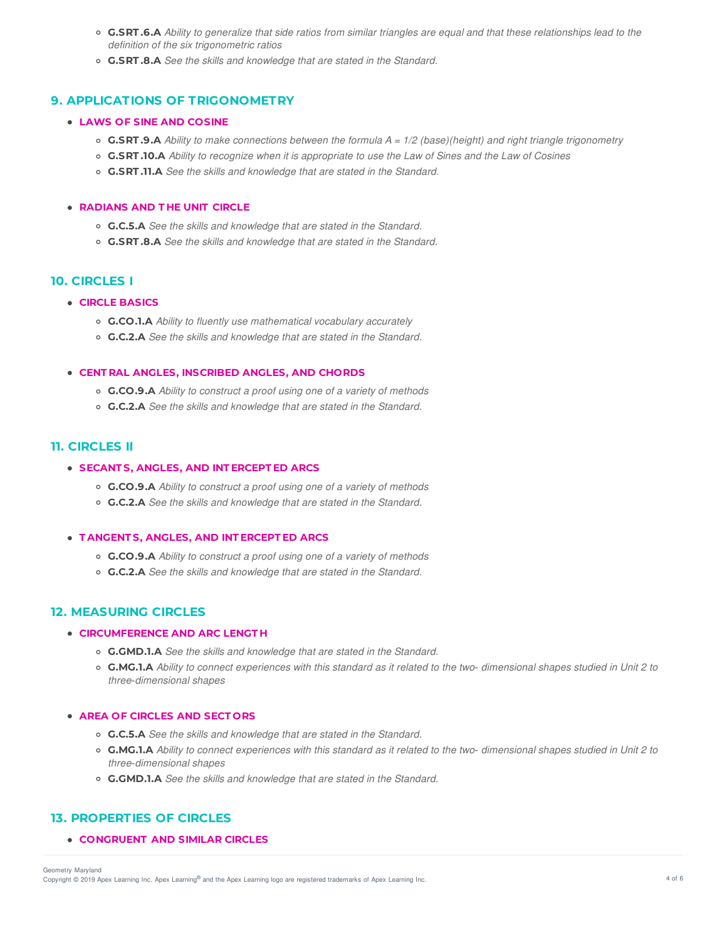- o G.SRT.6.A Ability to generalize that side ratios from similar triangles are equal and that these relationships lead to the *definition of the six trigonometric ratios*
- **G.SRT .8.A** *See the skills and knowledge that are stated in the Standard.*

## **9. APPLICATIONS OF TRIGONOMETRY**

### **LAWS OF SINE AND COSINE**

- **G.SRT.9.A** Ability to make connections between the formula  $A = 1/2$  (base)(height) and right triangle trigonometry
- o G.SRT.10.A Ability to recognize when it is appropriate to use the Law of Sines and the Law of Cosines
- **G.SRT .11.A** *See the skills and knowledge that are stated in the Standard.*

#### **RADIANS AND T HE UNIT CIRCLE**

- **G.C.5.A** *See the skills and knowledge that are stated in the Standard.*
- **G.SRT .8.A** *See the skills and knowledge that are stated in the Standard.*

# **10. CIRCLES I**

# **CIRCLE BASICS**

- **G.CO.1.A** *Ability to fluently use mathematical vocabulary accurately*
- **G.C.2.A** *See the skills and knowledge that are stated in the Standard.*

### **CENT RAL ANGLES, INSCRIBED ANGLES, AND CHORDS**

- **G.CO.9.A** *Ability to construct a proof using one of a variety of methods*
- **G.C.2.A** *See the skills and knowledge that are stated in the Standard.*

# **11. CIRCLES II**

### **SECANT S, ANGLES, AND INT ERCEPT ED ARCS**

- **G.CO.9.A** *Ability to construct a proof using one of a variety of methods*
- **G.C.2.A** *See the skills and knowledge that are stated in the Standard.*

#### **T ANGENT S, ANGLES, AND INT ERCEPT ED ARCS**

- **G.CO.9.A** *Ability to construct a proof using one of a variety of methods*
- **G.C.2.A** *See the skills and knowledge that are stated in the Standard.*

### **12. MEASURING CIRCLES**

## **CIRCUMFERENCE AND ARC LENGT H**

- **G.GMD.1.A** *See the skills and knowledge that are stated in the Standard.*
- G.MG.1.A Ability to connect experiences with this standard as it related to the two-dimensional shapes studied in Unit 2 to *three*‐*dimensional shapes*

#### **AREA OF CIRCLES AND SECT ORS**

- **G.C.5.A** *See the skills and knowledge that are stated in the Standard.*
- o G.MG.1.A Ability to connect experiences with this standard as it related to the two-dimensional shapes studied in Unit 2 to *three*‐*dimensional shapes*
- **G.GMD.1.A** *See the skills and knowledge that are stated in the Standard.*

## **13. PROPERTIES OF CIRCLES**

**CONGRUENT AND SIMILAR CIRCLES**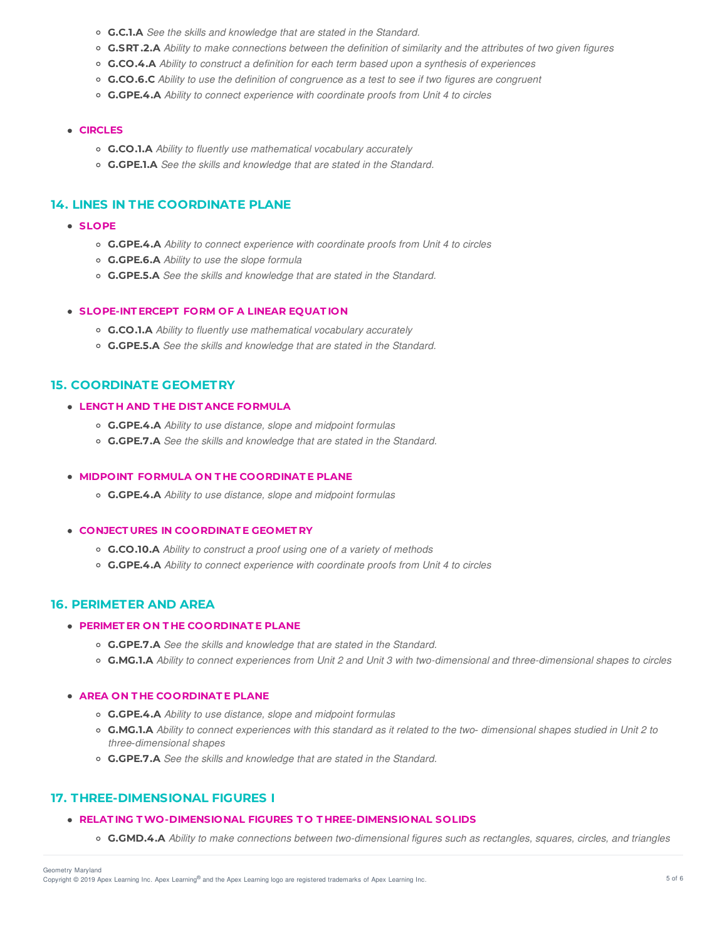- **G.C.1.A** *See the skills and knowledge that are stated in the Standard.*
- C.SRT.2.A Ability to make connections between the definition of similarity and the attributes of two given figures
- **G.CO.4.A** *Ability to construct a definition for each term based upon a synthesis of experiences*
- **G.CO.6.C** *Ability to use the definition of congruence as a test to see if two figures are congruent*
- **G.GPE.4.A** *Ability to connect experience with coordinate proofs from Unit 4 to circles*

## **CIRCLES**

- **G.CO.1.A** *Ability to fluently use mathematical vocabulary accurately*
- **G.GPE.1.A** *See the skills and knowledge that are stated in the Standard.*

# **14. LINES IN THE COORDINATE PLANE**

- **SLOPE**
	- **G.GPE.4.A** *Ability to connect experience with coordinate proofs from Unit 4 to circles*
	- **G.GPE.6.A** *Ability to use the slope formula*
	- **G.GPE.5.A** *See the skills and knowledge that are stated in the Standard.*

#### **SLOPE-INT ERCEPT FORM OF A LINEAR EQUAT ION**

- **G.CO.1.A** *Ability to fluently use mathematical vocabulary accurately*
- **G.GPE.5.A** *See the skills and knowledge that are stated in the Standard.*

# **15. COORDINATE GEOMETRY**

## **LENGT H AND T HE DIST ANCE FORMULA**

- **G.GPE.4.A** *Ability to use distance, slope and midpoint formulas*
- **G.GPE.7.A** *See the skills and knowledge that are stated in the Standard.*

### **MIDPOINT FORMULA ON T HE COORDINAT E PLANE**

**G.GPE.4.A** *Ability to use distance, slope and midpoint formulas*

## **CONJECT URES IN COORDINAT E GEOMET RY**

- **G.CO.10.A** *Ability to construct a proof using one of a variety of methods*
- **G.GPE.4.A** *Ability to connect experience with coordinate proofs from Unit 4 to circles*

### **16. PERIMETER AND AREA**

## **PERIMET ER ON T HE COORDINAT E PLANE**

- **G.GPE.7.A** *See the skills and knowledge that are stated in the Standard.*
- o G.MG.1.A Ability to connect experiences from Unit 2 and Unit 3 with two-dimensional and three-dimensional shapes to circles

### **AREA ON T HE COORDINAT E PLANE**

- **G.GPE.4.A** *Ability to use distance, slope and midpoint formulas*
- G.MG.1.A Ability to connect experiences with this standard as it related to the two- dimensional shapes studied in Unit 2 to *three*‐*dimensional shapes*
- **G.GPE.7.A** *See the skills and knowledge that are stated in the Standard.*

## **17. THREE-DIMENSIONAL FIGURES I**

### **RELAT ING TWO-DIMENSIONAL FIGURES T O T HREE-DIMENSIONAL SOLIDS**

○ G.GMD.4.A Ability to make connections between two-dimensional figures such as rectangles, squares, circles, and triangles